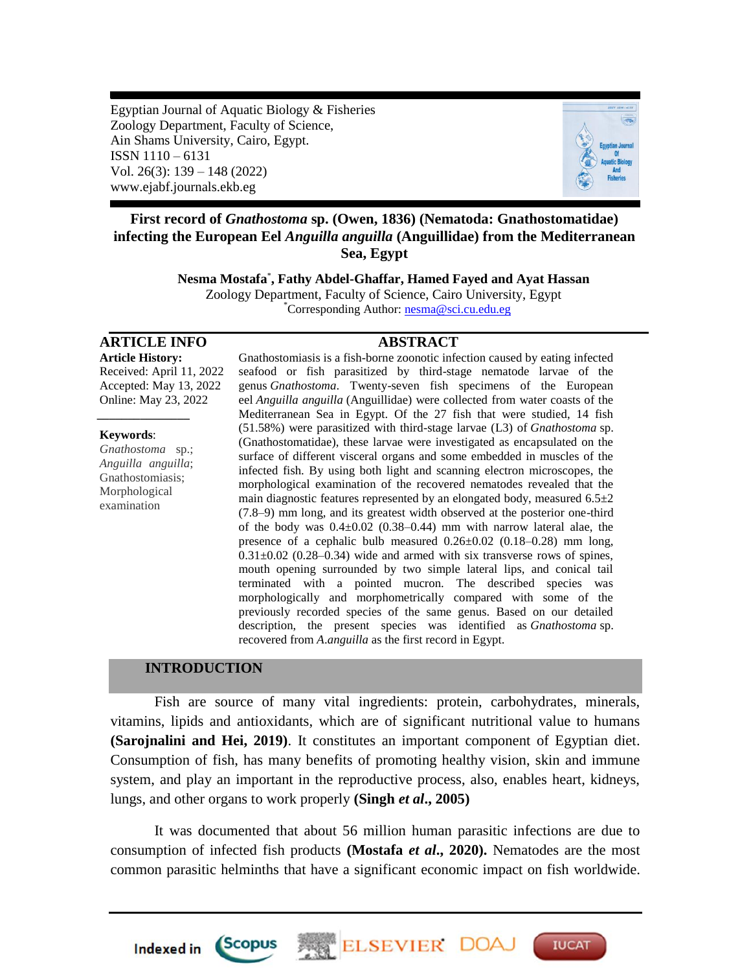Egyptian Journal of Aquatic Biology & Fisheries Zoology Department, Faculty of Science, Ain Shams University, Cairo, Egypt. ISSN 1110 – 6131 Vol. 26(3): 139 – 148 (2022) www.ejabf.journals.ekb.eg



# **First record of** *Gnathostoma* **sp. (Owen, 1836) (Nematoda: Gnathostomatidae) infecting the European Eel** *Anguilla anguilla* **(Anguillidae) from the Mediterranean Sea, Egypt**

**Nesma Mostafa**\* **, [Fathy Abdel-Ghaffar,](http://scholar.cu.edu.eg/?q=scifathyghaffar/) Hamed Fayed and Ayat Hassan** Zoology Department, Faculty of Science, Cairo University, Egypt \*Corresponding Author: [nesma@sci.cu.edu.eg](mailto:nesma@sci.cu.edu.eg)

# **ARTICLE INFO ABSTRACT**

**Article History:** Received: April 11, 2022 Accepted: May 13, 2022 Online: May 23, 2022

#### **Keywords**:

*Gnathostoma* sp.; *Anguilla anguilla*; Gnathostomiasis; Morphological examination

*\_\_\_\_\_\_\_\_\_\_\_\_\_\_\_*

Gnathostomiasis is a fish-borne zoonotic infection caused by eating infected seafood or fish parasitized by third-stage nematode larvae of the genus *Gnathostoma*. Twenty-seven fish specimens of the European eel *Anguilla anguilla* (Anguillidae) were collected from water coasts of the Mediterranean Sea in Egypt. Of the 27 fish that were studied, 14 fish (51.58%) were parasitized with third-stage larvae (L3) of *Gnathostoma* sp. (Gnathostomatidae), these larvae were investigated as encapsulated on the surface of different visceral organs and some embedded in muscles of the infected fish. By using both light and scanning electron microscopes, the morphological examination of the recovered nematodes revealed that the main diagnostic features represented by an elongated body, measured  $6.5\pm 2$ (7.8–9) mm long, and its greatest width observed at the posterior one-third of the body was  $0.4 \pm 0.02$  (0.38–0.44) mm with narrow lateral alae, the presence of a cephalic bulb measured  $0.26 \pm 0.02$  (0.18–0.28) mm long,  $0.31\pm0.02$  (0.28–0.34) wide and armed with six transverse rows of spines, mouth opening surrounded by two simple lateral lips, and conical tail terminated with a pointed mucron. The described species was morphologically and morphometrically compared with some of the previously recorded species of the same genus. Based on our detailed description, the present species was identified as *Gnathostoma* sp. recovered from *A*.*anguilla* as the first record in Egypt.

# **INTRODUCTION**

*Scopus* 

Indexed in

Fish are source of many vital ingredients: protein, carbohydrates, minerals, vitamins, lipids and antioxidants, which are of significant nutritional value to humans **(Sarojnalini and Hei, 2019)**. It constitutes an important component of Egyptian diet. Consumption of fish, has many benefits of promoting healthy vision, skin and immune system, and play an important in the reproductive process, also, enables heart, kidneys, lungs, and other organs to work properly **(Singh** *et al***., 2005)**

It was documented that about 56 million human parasitic infections are due to consumption of infected fish products **[\(Mostafa](https://pubmed.ncbi.nlm.nih.gov/?term=Mostafa%20E%5BAuthor%5D)** *et al***., 2020).** Nematodes are the most common parasitic helminths that have a significant economic impact on fish worldwide.

ELSEVIER DOA

**IUCAT**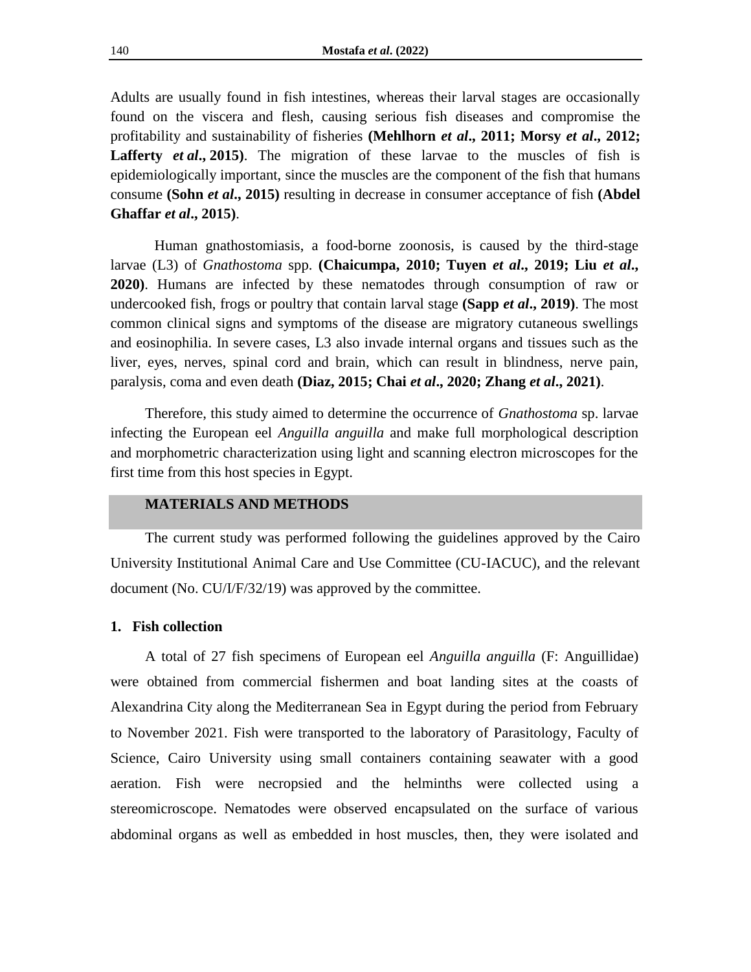Adults are usually found in fish intestines, whereas their larval stages are occasionally found on the viscera and flesh, causing serious fish diseases and compromise the profitability and sustainability of fisheries **(Mehlhorn** *et al***., 2011; Morsy** *et al***., 2012; Lafferty** *et al***., [2015\)](https://besjournals.onlinelibrary.wiley.com/doi/full/10.1111/1365-2664.13264#jpe13264-bib-0027)**. The migration of these larvae to the muscles of fish is epidemiologically important, since the muscles are the component of the fish that humans consume **(Sohn** *et al***., 2015)** resulting in decrease in consumer acceptance of fish **(Abdel Ghaffar** *et al***., 2015)**.

Human gnathostomiasis, a food-borne zoonosis, is caused by the third-stage larvae (L3) of *Gnathostoma* spp. **(Chaicumpa, 2010; Tuyen** *et al***., 2019; Liu** *et al***., 2020)**. Humans are infected by these nematodes through consumption of raw or undercooked fish, frogs or poultry that contain larval stage **(Sapp** *et al***., 2019)**. The most common clinical signs and symptoms of the disease are migratory cutaneous swellings and eosinophilia. In severe cases, L3 also invade internal organs and tissues such as the liver, eyes, nerves, spinal cord and brain, which can result in blindness, nerve pain, paralysis, coma and even death **(Diaz, 2015; Chai** *et al***., 2020; Zhang** *et al***., 2021)**.

Therefore, this study aimed to determine the occurrence of *Gnathostoma* sp. larvae infecting the European eel *Anguilla anguilla* and make full morphological description and morphometric characterization using light and scanning electron microscopes for the first time from this host species in Egypt.

# **MATERIALS AND METHODS**

The current study was performed following the guidelines approved by the Cairo University Institutional Animal Care and Use Committee (CU-IACUC), and the relevant document (No. CU/I/F/32/19) was approved by the committee.

#### **1. Fish collection**

A total of 27 fish specimens of European eel *Anguilla anguilla* (F: Anguillidae) were obtained from commercial fishermen and boat landing sites at the coasts of Alexandrina City along the Mediterranean Sea in Egypt during the period from February to November 2021. Fish were transported to the laboratory of Parasitology, Faculty of Science, Cairo University using small containers containing seawater with a good aeration. Fish were necropsied and the helminths were collected using a stereomicroscope. Nematodes were observed encapsulated on the surface of various abdominal organs as well as embedded in host muscles, then, they were isolated and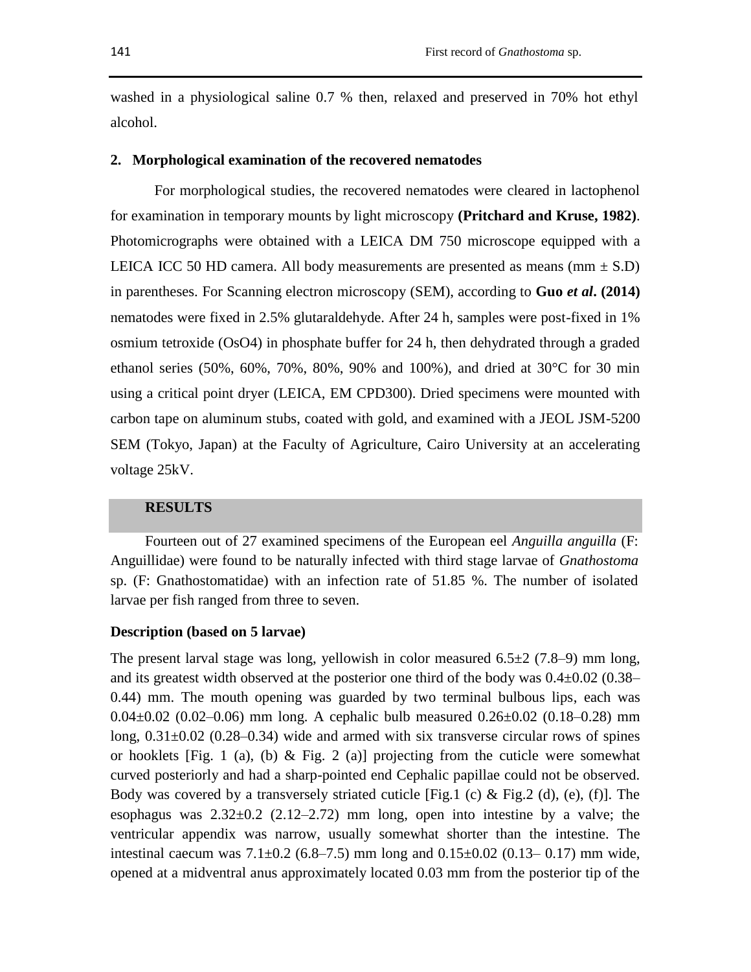washed in a physiological saline 0.7 % then, relaxed and preserved in 70% hot ethyl alcohol.

#### **2. Morphological examination of the recovered nematodes**

For morphological studies, the recovered nematodes were cleared in lactophenol for examination in temporary mounts by light microscopy **(Pritchard and Kruse, 1982)**. Photomicrographs were obtained with a LEICA DM 750 microscope equipped with a LEICA ICC 50 HD camera. All body measurements are presented as means ( $mm \pm S.D$ ) in parentheses. For Scanning electron microscopy (SEM), according to **Guo** *et al***. (2014)**  nematodes were fixed in 2.5% glutaraldehyde. After 24 h, samples were post-fixed in 1% osmium tetroxide (OsO4) in phosphate buffer for 24 h, then dehydrated through a graded ethanol series (50%, 60%, 70%, 80%, 90% and 100%), and dried at 30°C for 30 min using a critical point dryer (LEICA, EM CPD300). Dried specimens were mounted with carbon tape on aluminum stubs, coated with gold, and examined with a JEOL JSM-5200 SEM (Tokyo, Japan) at the Faculty of Agriculture, Cairo University at an accelerating voltage 25kV.

# **RESULTS**

Fourteen out of 27 examined specimens of the European eel *Anguilla anguilla* (F: Anguillidae) were found to be naturally infected with third stage larvae of *Gnathostoma* sp. (F: Gnathostomatidae) with an infection rate of 51.85 %. The number of isolated larvae per fish ranged from three to seven.

### **Description (based on 5 larvae)**

The present larval stage was long, yellowish in color measured  $6.5\pm2$  (7.8–9) mm long, and its greatest width observed at the posterior one third of the body was  $0.4\pm0.02$  (0.38– 0.44) mm. The mouth opening was guarded by two terminal bulbous lips, each was 0.04 $\pm$ 0.02 (0.02–0.06) mm long. A cephalic bulb measured 0.26 $\pm$ 0.02 (0.18–0.28) mm long,  $0.31\pm0.02$  (0.28–0.34) wide and armed with six transverse circular rows of spines or hooklets [Fig. 1 (a), (b)  $\&$  Fig. 2 (a)] projecting from the cuticle were somewhat curved posteriorly and had a sharp-pointed end Cephalic papillae could not be observed. Body was covered by a transversely striated cuticle [Fig.1 (c)  $\&$  Fig.2 (d), (e), (f)]. The esophagus was  $2.32\pm0.2$  (2.12–2.72) mm long, open into intestine by a valve; the ventricular appendix was narrow, usually somewhat shorter than the intestine. The intestinal caecum was  $7.1\pm0.2$  (6.8–7.5) mm long and  $0.15\pm0.02$  (0.13–0.17) mm wide, opened at a midventral anus approximately located 0.03 mm from the posterior tip of the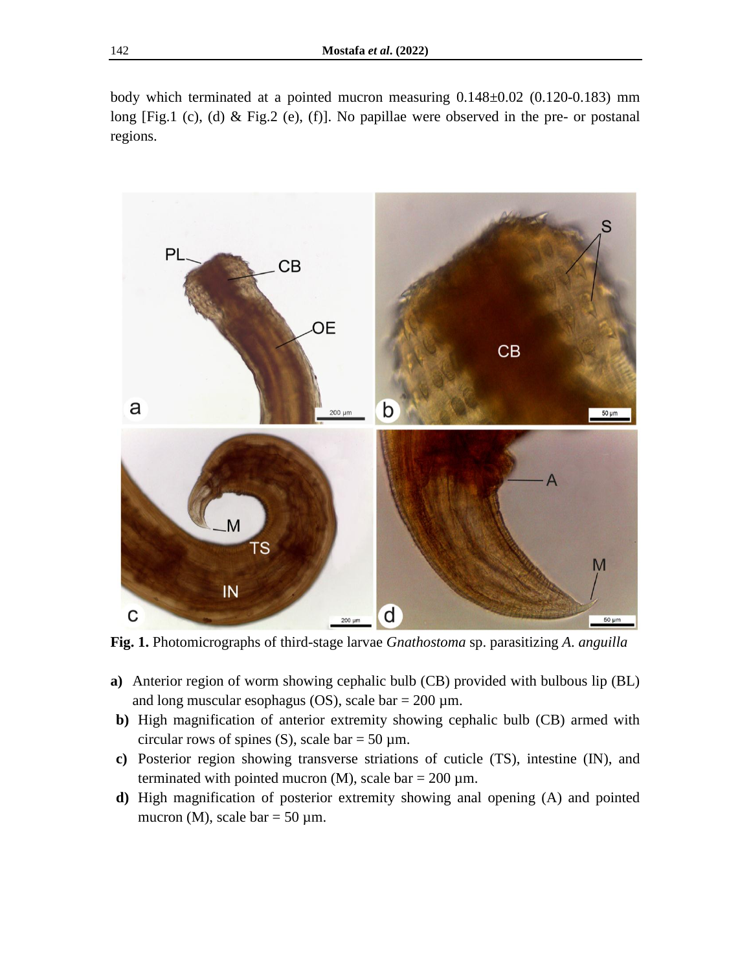body which terminated at a pointed mucron measuring 0.148±0.02 (0.120-0.183) mm long [Fig.1 (c), (d) & Fig.2 (e), (f)]. No papillae were observed in the pre- or postanal regions.



**Fig. 1.** Photomicrographs of third-stage larvae *Gnathostoma* sp. parasitizing *A*. *anguilla*

- **a)** Anterior region of worm showing cephalic bulb (CB) provided with bulbous lip (BL) and long muscular esophagus (OS), scale bar  $= 200 \mu m$ .
- **b)** High magnification of anterior extremity showing cephalic bulb (CB) armed with circular rows of spines (S), scale bar = 50  $\mu$ m.
- **c)** Posterior region showing transverse striations of cuticle (TS), intestine (IN), and terminated with pointed mucron (M), scale bar =  $200 \mu m$ .
- **d)** High magnification of posterior extremity showing anal opening (A) and pointed mucron (M), scale bar =  $50 \mu$ m.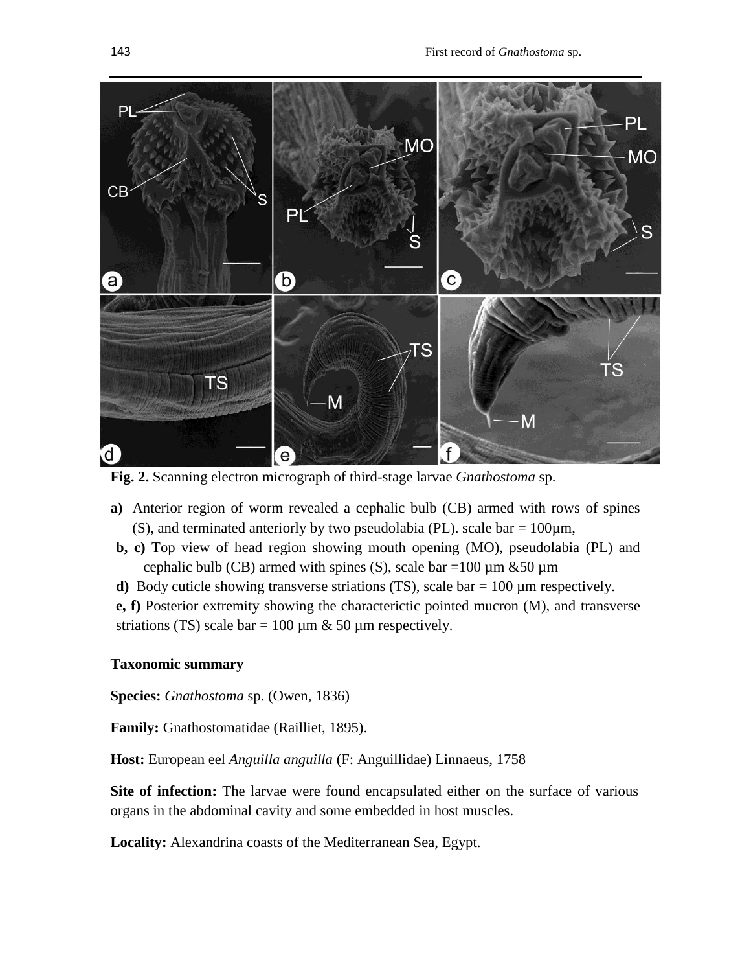

**Fig. 2.** Scanning electron micrograph of third-stage larvae *Gnathostoma* sp.

- **a)** Anterior region of worm revealed a cephalic bulb (CB) armed with rows of spines (S), and terminated anteriorly by two pseudolabia (PL). scale bar =  $100 \mu m$ ,
- **b, c)** Top view of head region showing mouth opening (MO), pseudolabia (PL) and cephalic bulb (CB) armed with spines (S), scale bar =100  $\mu$ m &50  $\mu$ m
- **d)** Body cuticle showing transverse striations (TS), scale bar = 100 µm respectively.

**e, f)** Posterior extremity showing the characterictic pointed mucron (M), and transverse striations (TS) scale bar = 100  $\mu$ m & 50  $\mu$ m respectively.

## **Taxonomic summary**

**Species:** *Gnathostoma* sp. (Owen, 1836)

**Family:** Gnathostomatidae (Railliet, 1895).

**Host:** European eel *Anguilla anguilla* (F: Anguillidae) Linnaeus, 1758

**Site of infection:** The larvae were found encapsulated either on the surface of various organs in the abdominal cavity and some embedded in host muscles.

**Locality:** Alexandrina coasts of the Mediterranean Sea, Egypt.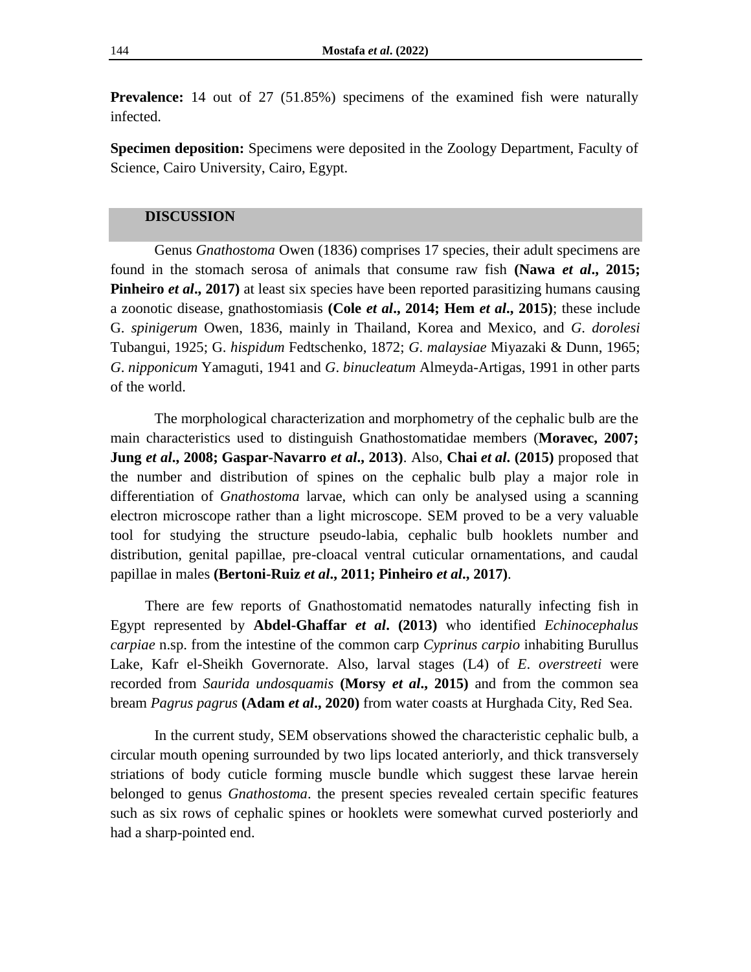**Prevalence:** 14 out of 27 (51.85%) specimens of the examined fish were naturally infected.

**Specimen deposition:** Specimens were deposited in the Zoology Department, Faculty of Science, Cairo University, Cairo, Egypt.

#### **DISCUSSION**

Genus *Gnathostoma* Owen (1836) comprises 17 species, their adult specimens are found in the stomach serosa of animals that consume raw fish **(Nawa** *et al***., 2015; Pinheiro** *et al.*, 2017) at least six species have been reported parasitizing humans causing a zoonotic disease, gnathostomiasis **(Cole** *et al***., 2014; Hem** *et al***., 2015)**; these include G. *spinigerum* Owen, 1836, mainly in Thailand, Korea and Mexico, and *G*. *dorolesi* Tubangui, 1925; G. *hispidum* Fedtschenko, 1872; *G*. *malaysiae* Miyazaki & Dunn, 1965; *G*. *nipponicum* Yamaguti, 1941 and *G*. *binucleatum* Almeyda-Artigas, 1991 in other parts of the world.

The morphological characterization and morphometry of the cephalic bulb are the main characteristics used to distinguish Gnathostomatidae members (**Moravec, 2007; Jung** *et al***., 2008; Gaspar-Navarro** *et al***., 2013)**. Also, **Chai** *et al***. (2015)** proposed that the number and distribution of spines on the cephalic bulb play a major role in differentiation of *Gnathostoma* larvae, which can only be analysed using a scanning electron microscope rather than a light microscope. SEM proved to be a very valuable tool for studying the structure pseudo-labia, cephalic bulb hooklets number and distribution, genital papillae, pre-cloacal ventral cuticular ornamentations, and caudal papillae in males **(Bertoni-Ruiz** *et al***., 2011; Pinheiro** *et al***., 2017)**.

There are few reports of Gnathostomatid nematodes naturally infecting fish in Egypt represented by **Abdel-Ghaffar** *et al***. (2013)** who identified *Echinocephalus carpiae* n.sp. from the intestine of the common carp *Cyprinus carpio* inhabiting Burullus Lake, Kafr el-Sheikh Governorate. Also, larval stages (L4) of *E*. *overstreeti* were recorded from *Saurida undosquamis* **(Morsy** *et al***., 2015)** and from the common sea bream *Pagrus pagrus* **(Adam** *et al***., 2020)** from water coasts at Hurghada City, Red Sea.

In the current study, SEM observations showed the characteristic cephalic bulb, a circular mouth opening surrounded by two lips located anteriorly, and thick transversely striations of body cuticle forming muscle bundle which suggest these larvae herein belonged to genus *Gnathostoma*. the present species revealed certain specific features such as six rows of cephalic spines or hooklets were somewhat curved posteriorly and had a sharp-pointed end.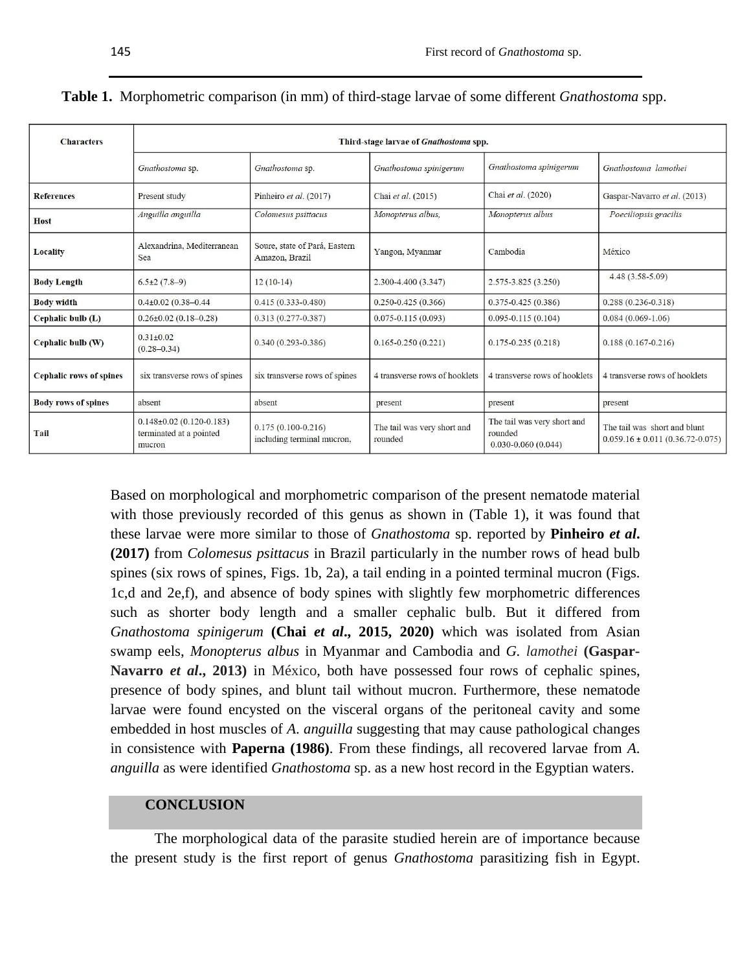| <b>Characters</b>              | Third-stage larvae of Gnathostoma spp.                            |                                                      |                                        |                                                                  |                                                                        |  |  |  |  |
|--------------------------------|-------------------------------------------------------------------|------------------------------------------------------|----------------------------------------|------------------------------------------------------------------|------------------------------------------------------------------------|--|--|--|--|
|                                |                                                                   |                                                      |                                        |                                                                  |                                                                        |  |  |  |  |
|                                | Gnathostoma sp.                                                   | Gnathostoma sp.                                      | Gnathostoma spinigerum                 | Gnathostoma spinigerum                                           | Gnathostoma lamothei                                                   |  |  |  |  |
| <b>References</b>              | Present study                                                     | Pinheiro et al. (2017)                               | Chai et al. (2015)                     | Chai et al. (2020)                                               | Gaspar-Navarro et al. (2013)                                           |  |  |  |  |
| <b>Host</b>                    | Anguilla anguilla                                                 | Colomesus psittacus                                  | Monopterus albus,                      | Monopterus albus                                                 | Poeciliopsis gracilis                                                  |  |  |  |  |
| Locality                       | Alexandrina, Mediterranean<br>Sea                                 | Soure, state of Pará, Eastern<br>Amazon, Brazil      | Yangon, Myanmar                        | Cambodia                                                         | México                                                                 |  |  |  |  |
| <b>Body Length</b>             | $6.5 \pm 2(7.8-9)$                                                | $12(10-14)$                                          | 2.300-4.400 (3.347)                    | $2.575 - 3.825(3.250)$                                           | $4.48(3.58-5.09)$                                                      |  |  |  |  |
| <b>Body width</b>              | $0.4\pm0.02$ (0.38-0.44)<br>$0.415(0.333 - 0.480)$                |                                                      | $0.250 - 0.425(0.366)$                 | $0.375 - 0.425(0.386)$                                           | $0.288(0.236 - 0.318)$                                                 |  |  |  |  |
| Cephalic bulb (L)              | $0.26 \pm 0.02$ (0.18-0.28)                                       | $0.313(0.277 - 0.387)$                               | $0.075 - 0.115(0.093)$                 | $0.095 - 0.115(0.104)$                                           | $0.084(0.069-1.06)$                                                    |  |  |  |  |
| Cephalic bulb (W)              | $0.31 \pm 0.02$<br>$(0.28 - 0.34)$                                | $0.340(0.293 - 0.386)$                               | $0.165 - 0.250(0.221)$                 | $0.175 - 0.235(0.218)$                                           | $0.188(0.167 - 0.216)$                                                 |  |  |  |  |
| <b>Cephalic rows of spines</b> | six transverse rows of spines                                     | six transverse rows of spines                        | 4 transverse rows of hooklets          | 4 transverse rows of hooklets                                    | 4 transverse rows of hooklets                                          |  |  |  |  |
| <b>Body rows of spines</b>     | absent                                                            | absent                                               | present                                | present                                                          | present                                                                |  |  |  |  |
| Tail                           | $0.148\pm0.02$ (0.120-0.183)<br>terminated at a pointed<br>mucron | $0.175(0.100 - 0.216)$<br>including terminal mucron, | The tail was very short and<br>rounded | The tail was very short and<br>rounded<br>$0.030 - 0.060(0.044)$ | The tail was short and blunt<br>$0.059.16 \pm 0.011 (0.36.72 - 0.075)$ |  |  |  |  |

|  |  |  |  |  |  |  |  | Table 1. Morphometric comparison (in mm) of third-stage larvae of some different Gnathostoma spp. |
|--|--|--|--|--|--|--|--|---------------------------------------------------------------------------------------------------|
|--|--|--|--|--|--|--|--|---------------------------------------------------------------------------------------------------|

Based on morphological and morphometric comparison of the present nematode material with those previously recorded of this genus as shown in (Table 1), it was found that these larvae were more similar to those of *Gnathostoma* sp. reported by **Pinheiro** *et al***. (2017)** from *Colomesus psittacus* in Brazil particularly in the number rows of head bulb spines (six rows of spines, Figs. 1b, 2a), a tail ending in a pointed terminal mucron (Figs. 1c,d and 2e,f), and absence of body spines with slightly few morphometric differences such as shorter body length and a smaller cephalic bulb. But it differed from *Gnathostoma spinigerum* **(Chai** *et al***., 2015, 2020)** which was isolated from Asian swamp eels, *Monopterus albus* in Myanmar and Cambodia and *G. lamothei* **(Gaspar-Navarro** *et al***., 2013)** in México, both have possessed four rows of cephalic spines, presence of body spines, and blunt tail without mucron. Furthermore, these nematode larvae were found encysted on the visceral organs of the peritoneal cavity and some embedded in host muscles of *A*. *anguilla* suggesting that may cause pathological changes in consistence with **Paperna (1986)**. From these findings, all recovered larvae from *A*. *anguilla* as were identified *Gnathostoma* sp. as a new host record in the Egyptian waters.

#### **CONCLUSION**

The morphological data of the parasite studied herein are of importance because the present study is the first report of genus *Gnathostoma* parasitizing fish in Egypt.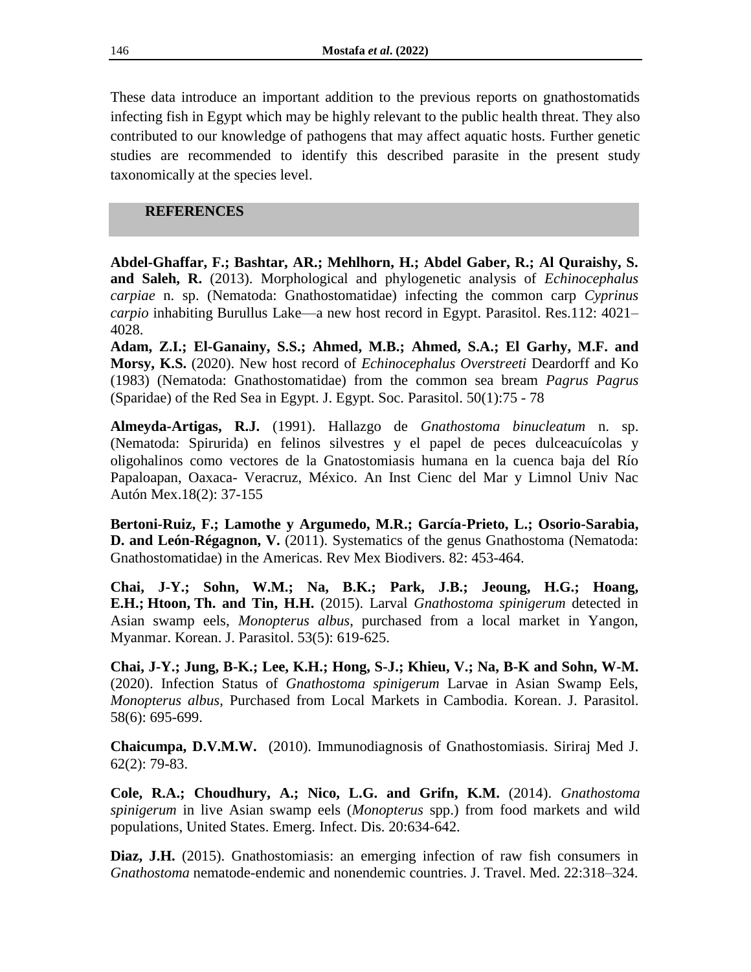These data introduce an important addition to the previous reports on gnathostomatids infecting fish in Egypt which may be highly relevant to the public health threat. They also contributed to our knowledge of pathogens that may affect aquatic hosts. Further genetic studies are recommended to identify this described parasite in the present study taxonomically at the species level.

# **REFERENCES**

**Abdel-Ghaffar, F.; Bashtar, AR.; Mehlhorn, H.; Abdel Gaber, R.; Al Quraishy, S. and Saleh, R.** (2013). Morphological and phylogenetic analysis of *Echinocephalus carpiae* n. sp. (Nematoda: Gnathostomatidae) infecting the common carp *Cyprinus carpio* inhabiting Burullus Lake—a new host record in Egypt. Parasitol. Res.112: 4021– 4028.

**Adam, Z.I.; El-Ganainy, S.S.; Ahmed, M.B.; Ahmed, S.A.; El Garhy, M.F. and Morsy, K.S.** (2020). New host record of *Echinocephalus Overstreeti* Deardorff and Ko (1983) (Nematoda: Gnathostomatidae) from the common sea bream *Pagrus Pagrus* (Sparidae) of the Red Sea in Egypt. J. Egypt. Soc. Parasitol. 50(1):75 - 78

**Almeyda-Artigas, R.J.** (1991). Hallazgo de *Gnathostoma binucleatum* n. sp. (Nematoda: Spirurida) en felinos silvestres y el papel de peces dulceacuícolas y oligohalinos como vectores de la Gnatostomiasis humana en la cuenca baja del Río Papaloapan, Oaxaca- Veracruz, México. An Inst Cienc del Mar y Limnol Univ Nac Autón Mex.18(2): 37-155

**Bertoni-Ruiz, F.; Lamothe y Argumedo, M.R.; García-Prieto, L.; Osorio-Sarabia, D. and León-Régagnon, V.** (2011). Systematics of the genus Gnathostoma (Nematoda: Gnathostomatidae) in the Americas. Rev Mex Biodivers. 82: 453-464.

**Chai, J-Y.; Sohn, W.M.; Na, B.K.; Park, J.B.; Jeoung, H.G.; Hoang, E.H.; [Htoon,](https://www.ncbi.nlm.nih.gov/pubmed/?term=Htoon%20TT%5BAuthor%5D&cauthor=true&cauthor_uid=26537042) Th. and [Tin,](https://www.ncbi.nlm.nih.gov/pubmed/?term=Tin%20HH%5BAuthor%5D&cauthor=true&cauthor_uid=26537042) H.H.** (2015). Larval *Gnathostoma spinigerum* detected in Asian swamp eels, *Monopterus albus*, purchased from a local market in Yangon, Myanmar. Korean. J. Parasitol. 53(5): 619-625.

**Chai, J-Y.; Jung, B-K.; Lee, K.H.; Hong, S-J.; Khieu, V.; Na, B-K and Sohn, W-M.**  (2020). Infection Status of *Gnathostoma spinigerum* Larvae in Asian Swamp Eels, *Monopterus albus*, Purchased from Local Markets in Cambodia. Korean. J. Parasitol. 58(6): 695-699.

**Chaicumpa, D.V.M.W.** (2010). Immunodiagnosis of Gnathostomiasis. Siriraj Med J. 62(2): 79-83.

**Cole, R.A.; Choudhury, A.; Nico, L.G. and Grifn, K.M.** (2014). *Gnathostoma spinigerum* in live Asian swamp eels (*Monopterus* spp.) from food markets and wild populations, United States. Emerg. Infect. Dis. 20:634-642.

**Diaz, J.H.** (2015). Gnathostomiasis: an emerging infection of raw fish consumers in *Gnathostoma* nematode-endemic and nonendemic countries. J. Travel. Med. 22:318–324.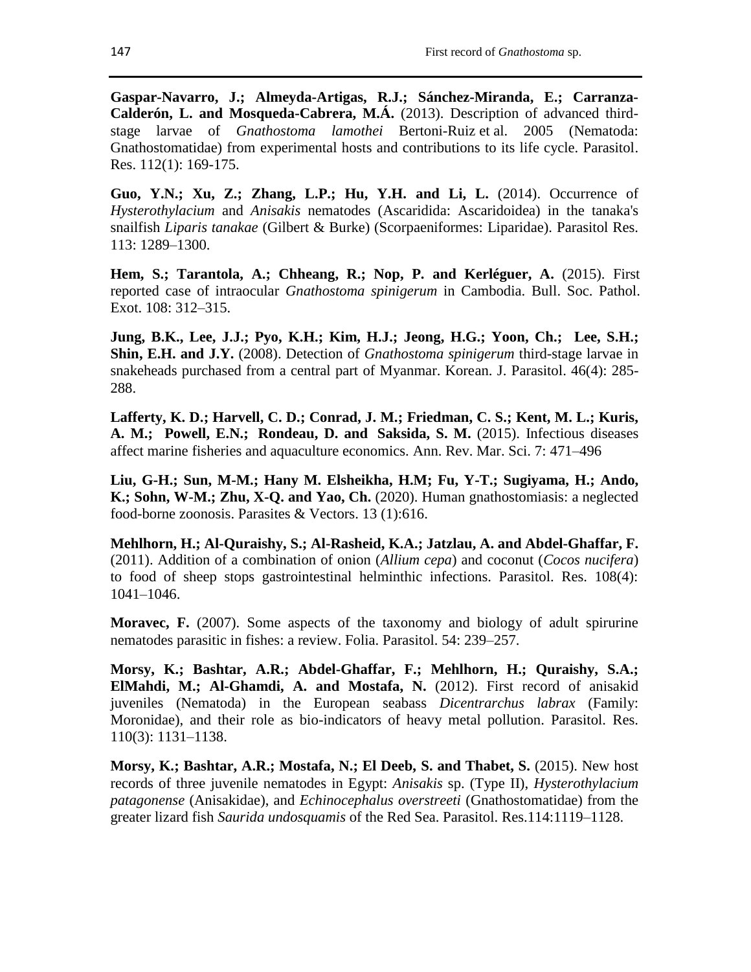**Gaspar-Navarro, J.; Almeyda-Artigas, R.J.; Sánchez-Miranda, E.; Carranza-Calderón, L. and Mosqueda-Cabrera, M.Á.** (2013). Description of advanced thirdstage larvae of *Gnathostoma lamothei* Bertoni-Ruiz et al. 2005 (Nematoda: Gnathostomatidae) from experimental hosts and contributions to its life cycle. Parasitol. Res. 112(1): 169-175.

**Guo, Y.N.; Xu, Z.; Zhang, L.P.; Hu, Y.H. and Li, L.** (2014). Occurrence of *Hysterothylacium* and *Anisakis* nematodes (Ascaridida: Ascaridoidea) in the tanaka's snailfish *Liparis tanakae* (Gilbert & Burke) (Scorpaeniformes: Liparidae). Parasitol Res. 113: 1289–1300.

**Hem, S.; Tarantola, A.; Chheang, R.; Nop, P. and Kerléguer, A.** (2015). First reported case of intraocular *Gnathostoma spinigerum* in Cambodia. Bull. Soc. Pathol. Exot. 108: 312–315.

**Jung, B.K., Lee, J.J.; Pyo, K.H.; Kim, H.J.; Jeong, H.G.; Yoon, Ch.; [Lee,](https://pubmed.ncbi.nlm.nih.gov/?term=Lee%20SH%5BAuthor%5D) S.H.[;](https://pubmed.ncbi.nlm.nih.gov/?term=Shin%20EH%5BAuthor%5D) [Shin,](https://pubmed.ncbi.nlm.nih.gov/?term=Shin%20EH%5BAuthor%5D) E.H. and J.Y.** (2008). Detection of *Gnathostoma spinigerum* third-stage larvae in snakeheads purchased from a central part of Myanmar. Korean. J. Parasitol. 46(4): 285- 288.

**Lafferty, K. D.; Harvell, C. D.; Conrad, J. M.; Friedman, C. S.; Kent, M. L.; Kuris, A. M.; [Powell,](https://pubmed.ncbi.nlm.nih.gov/?term=Powell+EN&cauthor_id=25251276) E.N.; [Rondeau,](https://pubmed.ncbi.nlm.nih.gov/?term=Rondeau+D&cauthor_id=25251276) D. and Saksida, S. M.** (2015). Infectious diseases affect marine fisheries and aquaculture economics. Ann. Rev. Mar. Sci. 7: 471–496

**Liu, G-H.; Sun, M-M.; Hany M. Elsheikha, H.M; Fu, Y-T.; Sugiyama, H.; Ando, K.; Sohn, W-M.; Zhu, X-Q. and Yao, Ch.** (2020). Human gnathostomiasis: a neglected food-borne zoonosis. Parasites & Vectors. 13 (1):616.

**Mehlhorn, H.; Al-Quraishy, S.; Al-Rasheid, K.A.; Jatzlau, A. and Abdel-Ghaffar, F.**  (2011). Addition of a combination of onion (*Allium cepa*) and coconut (*Cocos nucifera*) to food of sheep stops gastrointestinal helminthic infections. Parasitol. Res. 108(4): 1041–1046.

**Moravec, F.** (2007). Some aspects of the taxonomy and biology of adult spirurine nematodes parasitic in fishes: a review. Folia. Parasitol. 54: 239–257.

**Morsy, K.; Bashtar, A.R.; Abdel-Ghaffar, F.; Mehlhorn, H.; Quraishy, S.A.; ElMahdi, M.; Al-Ghamdi, A. and Mostafa, N.** (2012). First record of anisakid juveniles (Nematoda) in the European seabass *Dicentrarchus labrax* (Family: Moronidae), and their role as bio-indicators of heavy metal pollution. Parasitol. Res. 110(3): 1131–1138.

**Morsy, K.; Bashtar, A.R.; Mostafa, N.; El Deeb, S. and Thabet, S.** (2015). New host records of three juvenile nematodes in Egypt: *Anisakis* sp. (Type II), *Hysterothylacium patagonense* (Anisakidae), and *Echinocephalus overstreeti* (Gnathostomatidae) from the greater lizard fish *Saurida undosquamis* of the Red Sea. Parasitol. Res.114:1119–1128.